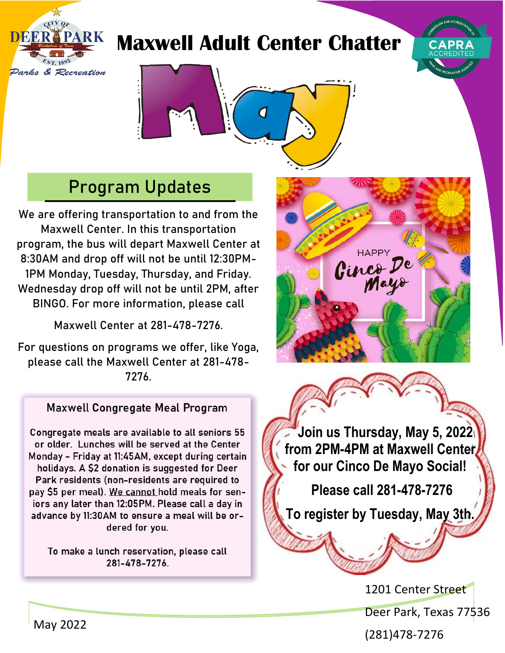## **Maxwell Adult Center Chatter**





## Program Updates

**We are offering transportation to and from the Maxwell Center. In this transportation program, the bus will depart Maxwell Center at 8:30AM and drop off will not be until 12:30PM-1PM Monday, Tuesday, Thursday, and Friday. Wednesday drop off will not be until 2PM, after BINGO. For more information, please call** 

**Maxwell Center at 281-478-7276.**

**For questions on programs we offer, like Yoga, please call the Maxwell Center at 281-478- 7276.**

## **Maxwell Congregate Meal Program**

Congregate meals are available to all seniors 55 or older. Lunches will be served at the Center Monday - Friday at 11:45AM, except during certain holidays. A \$2 donation is suggested for Deer Park residents (non-residents are required to pay \$5 per meal). We cannot hold meals for seniors any later than 12:05PM. Please call a day in advance by 11:30AM to ensure a meal will be ordered for you.

To make a lunch reservation, please call 281-478-7276.



 **Join us Thursday, May 5, 2022 from 2PM-4PM at Maxwell Center for our Cinco De Mayo Social!**

**Please call 281-478-7276** 

**To register by Tuesday, May 3th.**

1201 Center Street Deer Park, Texas 77536

May 2022

(281)478-7276